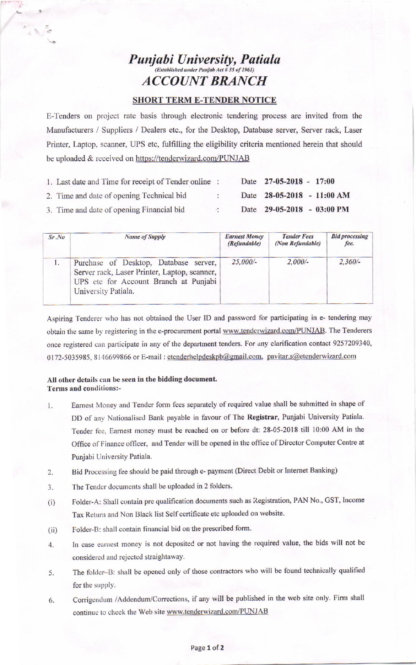# **Punjabi University, Patiala ACCOUNT BRANCH**

### **SHORT TERM E-TENDER NOTICE**

E-Tenders on project rate basis through electronic tendering process are invited from the Manufacturers / Suppliers / Dealers etc., for the Desktop, Database server, Server rack, Laser Printer, Laptop, scanner, UPS etc, fulfilling the eligibility criteria mentioned herein that should be uploaded & received on https://tenderwizard.com/PUNJAB

| 1. Last date and Time for receipt of Tender online : |               | Date 27-05-2018 - 17:00    |  |
|------------------------------------------------------|---------------|----------------------------|--|
| 2. Time and date of opening Technical bid            | $\mathcal{L}$ | Date 28-05-2018 - 11:00 AM |  |
| 3. Time and date of opening Financial bid.           | P.            | Date 29-05-2018 - 03:00 PM |  |

| Sr, No | <b>Name of Supply</b>                                                                                                                                 | <b>Earnest Money</b><br>(Refundable) | <b>Tender Fees</b><br>(Non Refundable) | <b>Bid processing</b><br>fee. |  |
|--------|-------------------------------------------------------------------------------------------------------------------------------------------------------|--------------------------------------|----------------------------------------|-------------------------------|--|
| 1.     | Purchase of Desktop, Database server,<br>Server rack, Laser Printer, Laptop, scanner,<br>UPS etc for Account Branch at Punjabi<br>University Patiala. | $25,000/-$                           | $2,000/-$                              | $2,360/-$                     |  |

Aspiring Tenderer who has not obtained the User ID and password for participating in e- tendering may obtain the same by registering in the e-procurement portal www.tenderwizard.com/PUNJAB. The Tenderers once registered can participate in any of the department tenders. For any clarification contact 9257209340, 0172-5035985, 8146699866 or E-mail: etenderhelpdeskpb@gmail.com, pavitar.s@etenderwizard.com

### All other details can be seen in the bidding document. Terms and conditions:-

AN AT

- Earnest Money and Tender form fees separately of required value shall be submitted in shape of  $\mathbf{1}$ . DD of any Nationalised Bank payable in favour of The Registrar, Punjabi University Patiala. Tender fee, Earnest money must be reached on or before dt: 28-05-2018 till 10:00 AM in the Office of Finance officer, and Tender will be opened in the office of Director Computer Centre at Punjabi University Patiala.
- Bid Processing fee should be paid through e- payment (Direct Debit or Internet Banking)  $2.$
- The Tender documents shall be uploaded in 2 folders.  $3.$
- Folder-A: Shall contain pre qualification documents such as Registration, PAN No., GST, Income  $(i)$ Tax Return and Non Black list Self certificate etc uploaded on website.
- Folder-B: shall contain financial bid on the prescribed form.  $(ii)$
- In case earnest money is not deposited or not having the required value, the bids will not be  $\overline{4}$ considered and rejected straightaway.
- The folder-B: shall be opened only of those contractors who will be found technically qualified 5. for the supply.
- Corrigendum /Addendum/Corrections, if any will be published in the web site only. Firm shall 6. continue to check the Web site www.tenderwizard.com/PUNJAB